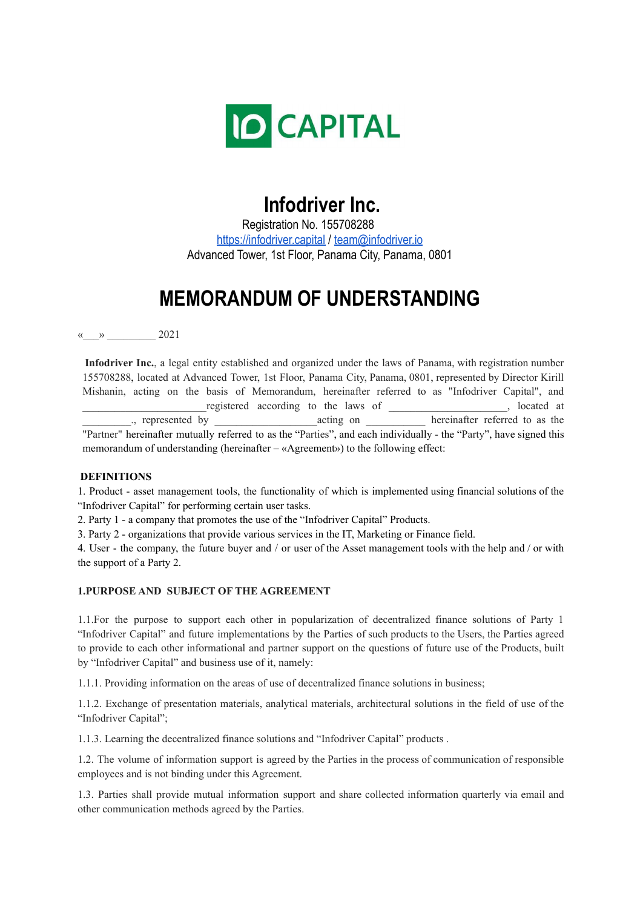

# **Infodriver Inc.**

Registration No. 155708288 <https://infodriver.capital> / [team@infodriver.io](mailto:team@infodriver.io) Advanced Tower, 1st Floor, Panama City, Panama, 0801

# **MEMORANDUM OF UNDERSTANDING**

 $\leftarrow$   $\rightarrow$  2021

**Infodriver Inc.**, a legal entity established and organized under the laws of Panama, with registration number 155708288, located at Advanced Tower, 1st Floor, Panama City, Panama, 0801, represented by Director Kirill Mishanin, acting on the basis of Memorandum, hereinafter referred to as "Infodriver Capital", and registered according to the laws of \_\_\_\_\_\_\_\_\_\_\_\_\_\_\_\_\_, located at .. represented by  $\qquad \qquad$  acting on  $\qquad$  hereinafter referred to as the "Partner" hereinafter mutually referred to as the "Parties", and each individually - the "Party", have signed this memorandum of understanding (hereinafter  $-\alpha$ Agreement») to the following effect:

#### **DEFINITIONS**

1. Product - asset management tools, the functionality of which is implemented using financial solutions of the "Infodriver Capital" for performing certain user tasks.

2. Party 1 - a company that promotes the use of the "Infodriver Capital" Products.

3. Party 2 - organizations that provide various services in the IT, Marketing or Finance field.

4. User - the company, the future buyer and / or user of the Asset management tools with the help and / or with the support of a Party 2.

### **1.PURPOSE AND SUBJECT OF THE AGREEMENT**

1.1.For the purpose to support each other in popularization of decentralized finance solutions of Party 1 "Infodriver Capital" and future implementations by the Parties of such products to the Users, the Parties agreed to provide to each other informational and partner support on the questions of future use of the Products, built by "Infodriver Capital" and business use of it, namely:

1.1.1. Providing information on the areas of use of decentralized finance solutions in business;

1.1.2. Exchange of presentation materials, analytical materials, architectural solutions in the field of use of the "Infodriver Capital";

1.1.3. Learning the decentralized finance solutions and "Infodriver Capital" products .

1.2. The volume of information support is agreed by the Parties in the process of communication of responsible employees and is not binding under this Agreement.

1.3. Parties shall provide mutual information support and share collected information quarterly via email and other communication methods agreed by the Parties.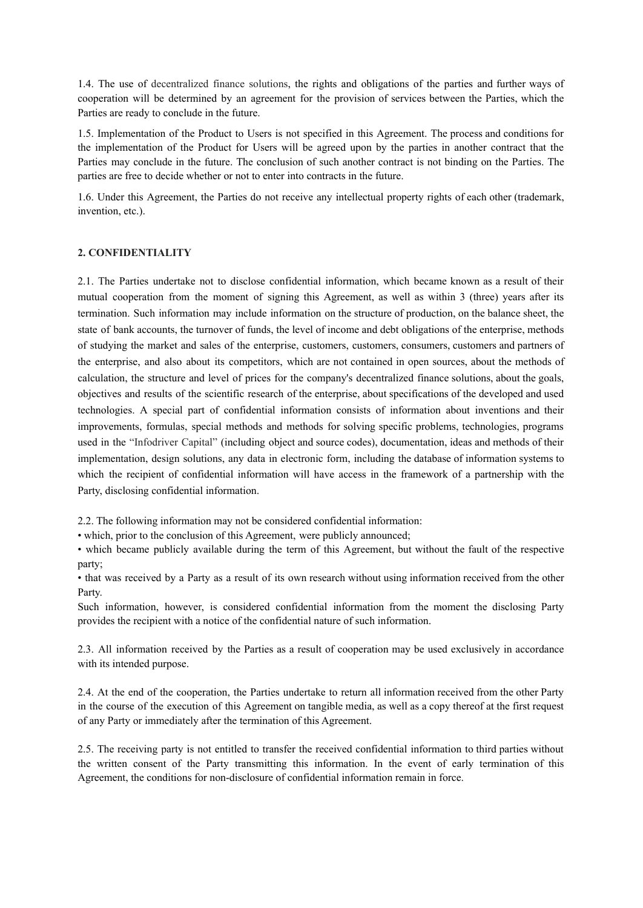1.4. The use of decentralized finance solutions, the rights and obligations of the parties and further ways of cooperation will be determined by an agreement for the provision of services between the Parties, which the Parties are ready to conclude in the future.

1.5. Implementation of the Product to Users is not specified in this Agreement. The process and conditions for the implementation of the Product for Users will be agreed upon by the parties in another contract that the Parties may conclude in the future. The conclusion of such another contract is not binding on the Parties. The parties are free to decide whether or not to enter into contracts in the future.

1.6. Under this Agreement, the Parties do not receive any intellectual property rights of each other (trademark, invention, etc.).

### **2. CONFIDENTIALITY**

2.1. The Parties undertake not to disclose confidential information, which became known as a result of their mutual cooperation from the moment of signing this Agreement, as well as within 3 (three) years after its termination. Such information may include information on the structure of production, on the balance sheet, the state of bank accounts, the turnover of funds, the level of income and debt obligations of the enterprise, methods of studying the market and sales of the enterprise, customers, customers, consumers, customers and partners of the enterprise, and also about its competitors, which are not contained in open sources, about the methods of calculation, the structure and level of prices for the company's decentralized finance solutions, about the goals, objectives and results of the scientific research of the enterprise, about specifications of the developed and used technologies. A special part of confidential information consists of information about inventions and their improvements, formulas, special methods and methods for solving specific problems, technologies, programs used in the "Infodriver Capital" (including object and source codes), documentation, ideas and methods of their implementation, design solutions, any data in electronic form, including the database of information systems to which the recipient of confidential information will have access in the framework of a partnership with the Party, disclosing confidential information.

2.2. The following information may not be considered confidential information:

• which, prior to the conclusion of this Agreement, were publicly announced;

• which became publicly available during the term of this Agreement, but without the fault of the respective party;

• that was received by a Party as a result of its own research without using information received from the other Party.

Such information, however, is considered confidential information from the moment the disclosing Party provides the recipient with a notice of the confidential nature of such information.

2.3. All information received by the Parties as a result of cooperation may be used exclusively in accordance with its intended purpose.

2.4. At the end of the cooperation, the Parties undertake to return all information received from the other Party in the course of the execution of this Agreement on tangible media, as well as a copy thereof at the first request of any Party or immediately after the termination of this Agreement.

2.5. The receiving party is not entitled to transfer the received confidential information to third parties without the written consent of the Party transmitting this information. In the event of early termination of this Agreement, the conditions for non-disclosure of confidential information remain in force.